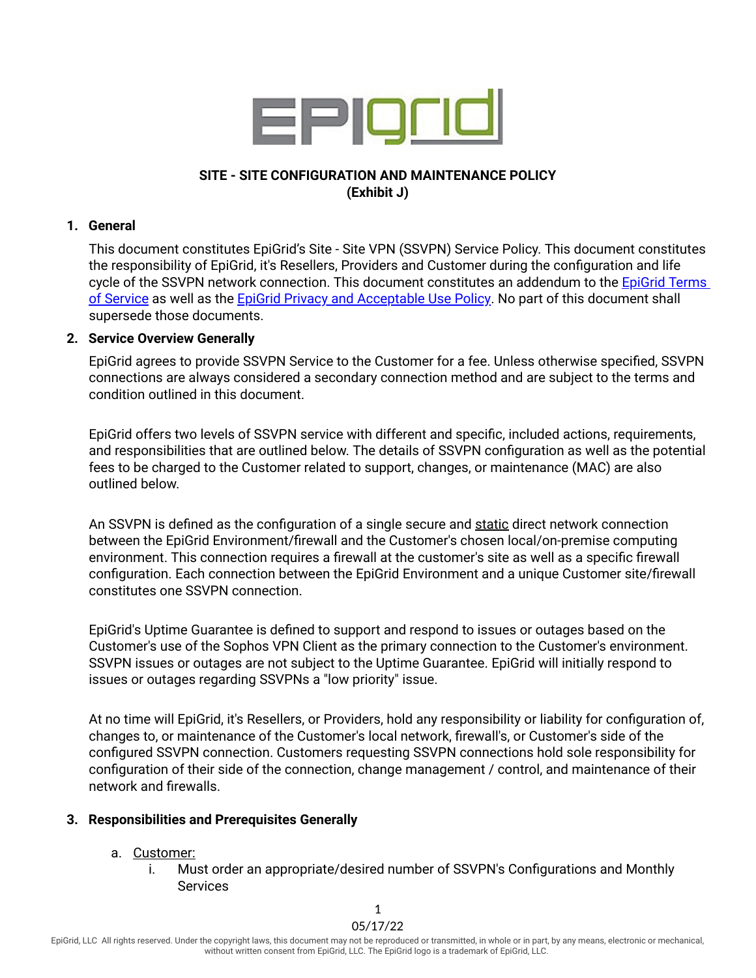

## **SITE - SITE CONFIGURATION AND MAINTENANCE POLICY (Exhibit J)**

#### **1. General**

This document constitutes EpiGrid's Site - Site VPN (SSVPN) Service Policy. This document constitutes the responsibility of EpiGrid, it's Resellers, Providers and Customer during the configuration and life cycle of the SSVPN network connection. This document constitutes an addendum to the [EpiGrid](https://www.epigrid.com/legal) Terms of [Service](https://www.epigrid.com/legal) as well as the EpiGrid Privacy and [Acceptable](https://www.epigrid.com/legal) Use Policy. No part of this document shall supersede those documents.

### **2. Service Overview Generally**

EpiGrid agrees to provide SSVPN Service to the Customer for a fee. Unless otherwise specified, SSVPN connections are always considered a secondary connection method and are subject to the terms and condition outlined in this document.

EpiGrid offers two levels of SSVPN service with different and specific, included actions, requirements, and responsibilities that are outlined below. The details of SSVPN configuration as well as the potential fees to be charged to the Customer related to support, changes, or maintenance (MAC) are also outlined below.

An SSVPN is defined as the configuration of a single secure and static direct network connection between the EpiGrid Environment/firewall and the Customer's chosen local/on-premise computing environment. This connection requires a firewall at the customer's site as well as a specific firewall configuration. Each connection between the EpiGrid Environment and a unique Customer site/firewall constitutes one SSVPN connection.

EpiGrid's Uptime Guarantee is defined to support and respond to issues or outages based on the Customer's use of the Sophos VPN Client as the primary connection to the Customer's environment. SSVPN issues or outages are not subject to the Uptime Guarantee. EpiGrid will initially respond to issues or outages regarding SSVPNs a "low priority" issue.

At no time will EpiGrid, it's Resellers, or Providers, hold any responsibility or liability for configuration of, changes to, or maintenance of the Customer's local network, firewall's, or Customer's side of the configured SSVPN connection. Customers requesting SSVPN connections hold sole responsibility for configuration of their side of the connection, change management / control, and maintenance of their network and firewalls.

### **3. Responsibilities and Prerequisites Generally**

- a. Customer:
	- i. Must order an appropriate/desired number of SSVPN's Configurations and Monthly **Services**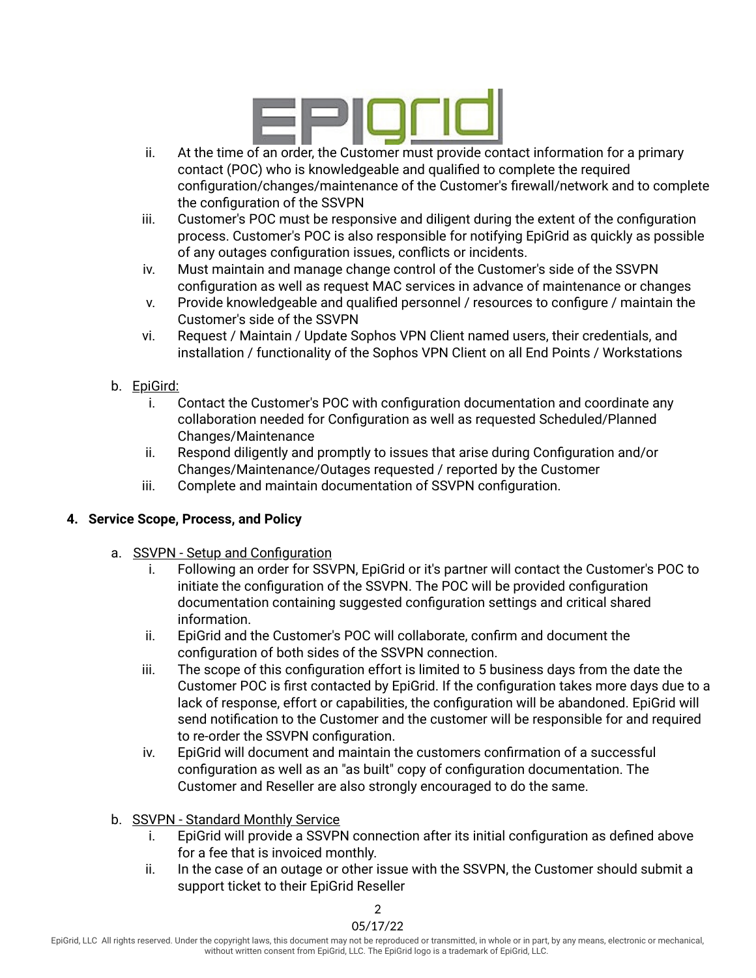

- ii. At the time of an order, the Customer must provide contact information for a primary contact (POC) who is knowledgeable and qualified to complete the required configuration/changes/maintenance of the Customer's firewall/network and to complete the configuration of the SSVPN
- iii. Customer's POC must be responsive and diligent during the extent of the configuration process. Customer's POC is also responsible for notifying EpiGrid as quickly as possible of any outages configuration issues, conflicts or incidents.
- iv. Must maintain and manage change control of the Customer's side of the SSVPN configuration as well as request MAC services in advance of maintenance or changes
- v. Provide knowledgeable and qualified personnel / resources to configure / maintain the Customer's side of the SSVPN
- vi. Request / Maintain / Update Sophos VPN Client named users, their credentials, and installation / functionality of the Sophos VPN Client on all End Points / Workstations
- b. EpiGird:
	- i. Contact the Customer's POC with configuration documentation and coordinate any collaboration needed for Configuration as well as requested Scheduled/Planned Changes/Maintenance
	- ii. Respond diligently and promptly to issues that arise during Configuration and/or Changes/Maintenance/Outages requested / reported by the Customer
	- iii. Complete and maintain documentation of SSVPN configuration.

# **4. Service Scope, Process, and Policy**

- a. SSVPN Setup and Configuration
	- i. Following an order for SSVPN, EpiGrid or it's partner will contact the Customer's POC to initiate the configuration of the SSVPN. The POC will be provided configuration documentation containing suggested configuration settings and critical shared information.
	- ii. EpiGrid and the Customer's POC will collaborate, confirm and document the configuration of both sides of the SSVPN connection.
	- iii. The scope of this configuration effort is limited to 5 business days from the date the Customer POC is first contacted by EpiGrid. If the configuration takes more days due to a lack of response, effort or capabilities, the configuration will be abandoned. EpiGrid will send notification to the Customer and the customer will be responsible for and required to re-order the SSVPN configuration.
	- iv. EpiGrid will document and maintain the customers confirmation of a successful configuration as well as an "as built" copy of configuration documentation. The Customer and Reseller are also strongly encouraged to do the same.
- b. SSVPN Standard Monthly Service
	- i. EpiGrid will provide a SSVPN connection after its initial configuration as defined above for a fee that is invoiced monthly.
	- ii. In the case of an outage or other issue with the SSVPN, the Customer should submit a support ticket to their EpiGrid Reseller

05/17/22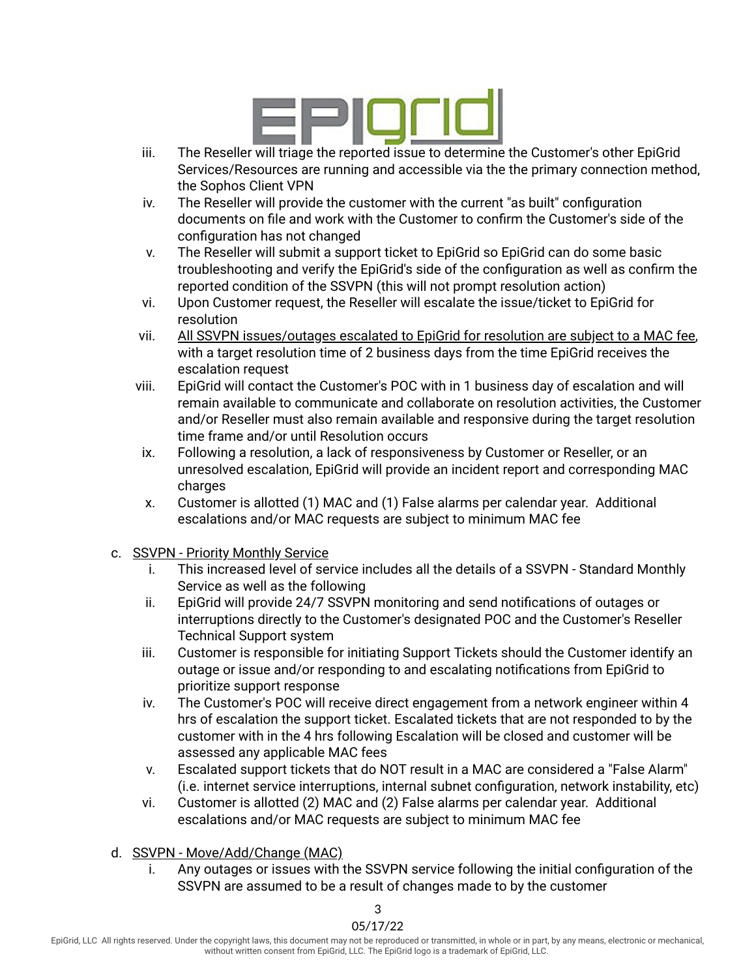

- iii. The Reseller will triage the reported issue to determine the Customer's other EpiGrid Services/Resources are running and accessible via the the primary connection method, the Sophos Client VPN
- iv. The Reseller will provide the customer with the current "as built" configuration documents on file and work with the Customer to confirm the Customer's side of the configuration has not changed
- v. The Reseller will submit a support ticket to EpiGrid so EpiGrid can do some basic troubleshooting and verify the EpiGrid's side of the configuration as well as confirm the reported condition of the SSVPN (this will not prompt resolution action)
- vi. Upon Customer request, the Reseller will escalate the issue/ticket to EpiGrid for resolution
- vii. All SSVPN issues/outages escalated to EpiGrid for resolution are subject to a MAC fee, with a target resolution time of 2 business days from the time EpiGrid receives the escalation request
- viii. EpiGrid will contact the Customer's POC with in 1 business day of escalation and will remain available to communicate and collaborate on resolution activities, the Customer and/or Reseller must also remain available and responsive during the target resolution time frame and/or until Resolution occurs
- ix. Following a resolution, a lack of responsiveness by Customer or Reseller, or an unresolved escalation, EpiGrid will provide an incident report and corresponding MAC charges
- x. Customer is allotted (1) MAC and (1) False alarms per calendar year. Additional escalations and/or MAC requests are subject to minimum MAC fee
- c. SSVPN Priority Monthly Service
	- i. This increased level of service includes all the details of a SSVPN Standard Monthly Service as well as the following
	- ii. EpiGrid will provide 24/7 SSVPN monitoring and send notifications of outages or interruptions directly to the Customer's designated POC and the Customer's Reseller Technical Support system
	- iii. Customer is responsible for initiating Support Tickets should the Customer identify an outage or issue and/or responding to and escalating notifications from EpiGrid to prioritize support response
	- iv. The Customer's POC will receive direct engagement from a network engineer within 4 hrs of escalation the support ticket. Escalated tickets that are not responded to by the customer with in the 4 hrs following Escalation will be closed and customer will be assessed any applicable MAC fees
	- v. Escalated support tickets that do NOT result in a MAC are considered a "False Alarm" (i.e. internet service interruptions, internal subnet configuration, network instability, etc)
	- vi. Customer is allotted (2) MAC and (2) False alarms per calendar year. Additional escalations and/or MAC requests are subject to minimum MAC fee
- d. SSVPN Move/Add/Change (MAC)
	- i. Any outages or issues with the SSVPN service following the initial configuration of the SSVPN are assumed to be a result of changes made to by the customer